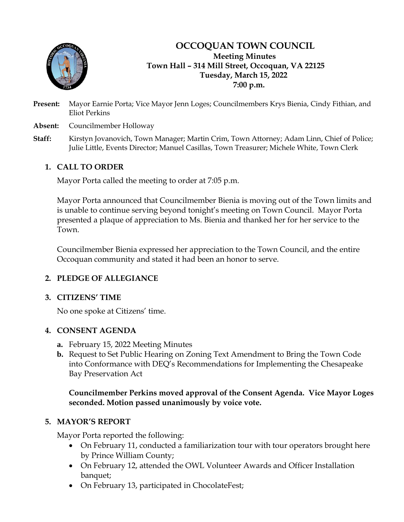

## **OCCOQUAN TOWN COUNCIL Meeting Minutes Town Hall – 314 Mill Street, Occoquan, VA 22125 Tuesday, March 15, 2022 7:00 p.m.**

- **Present:** Mayor Earnie Porta; Vice Mayor Jenn Loges; Councilmembers Krys Bienia, Cindy Fithian, and Eliot Perkins
- **Absent:** Councilmember Holloway
- **Staff:** Kirstyn Jovanovich, Town Manager; Martin Crim, Town Attorney; Adam Linn, Chief of Police; Julie Little, Events Director; Manuel Casillas, Town Treasurer; Michele White, Town Clerk

# **1. CALL TO ORDER**

Mayor Porta called the meeting to order at 7:05 p.m.

Mayor Porta announced that Councilmember Bienia is moving out of the Town limits and is unable to continue serving beyond tonight's meeting on Town Council. Mayor Porta presented a plaque of appreciation to Ms. Bienia and thanked her for her service to the Town.

Councilmember Bienia expressed her appreciation to the Town Council, and the entire Occoquan community and stated it had been an honor to serve.

# **2. PLEDGE OF ALLEGIANCE**

### **3. CITIZENS' TIME**

No one spoke at Citizens' time.

### **4. CONSENT AGENDA**

- **a.** February 15, 2022 Meeting Minutes
- **b.** Request to Set Public Hearing on Zoning Text Amendment to Bring the Town Code into Conformance with DEQ's Recommendations for Implementing the Chesapeake Bay Preservation Act

**Councilmember Perkins moved approval of the Consent Agenda. Vice Mayor Loges seconded. Motion passed unanimously by voice vote.**

### **5. MAYOR'S REPORT**

Mayor Porta reported the following:

- On February 11, conducted a familiarization tour with tour operators brought here by Prince William County;
- On February 12, attended the OWL Volunteer Awards and Officer Installation banquet;
- On February 13, participated in ChocolateFest;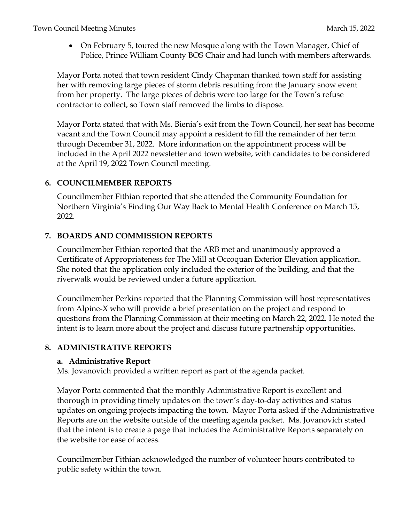• On February 5, toured the new Mosque along with the Town Manager, Chief of Police, Prince William County BOS Chair and had lunch with members afterwards.

Mayor Porta noted that town resident Cindy Chapman thanked town staff for assisting her with removing large pieces of storm debris resulting from the January snow event from her property. The large pieces of debris were too large for the Town's refuse contractor to collect, so Town staff removed the limbs to dispose.

Mayor Porta stated that with Ms. Bienia's exit from the Town Council, her seat has become vacant and the Town Council may appoint a resident to fill the remainder of her term through December 31, 2022. More information on the appointment process will be included in the April 2022 newsletter and town website, with candidates to be considered at the April 19, 2022 Town Council meeting.

## **6. COUNCILMEMBER REPORTS**

Councilmember Fithian reported that she attended the Community Foundation for Northern Virginia's Finding Our Way Back to Mental Health Conference on March 15, 2022.

# **7. BOARDS AND COMMISSION REPORTS**

Councilmember Fithian reported that the ARB met and unanimously approved a Certificate of Appropriateness for The Mill at Occoquan Exterior Elevation application. She noted that the application only included the exterior of the building, and that the riverwalk would be reviewed under a future application.

Councilmember Perkins reported that the Planning Commission will host representatives from Alpine-X who will provide a brief presentation on the project and respond to questions from the Planning Commission at their meeting on March 22, 2022. He noted the intent is to learn more about the project and discuss future partnership opportunities.

### **8. ADMINISTRATIVE REPORTS**

### **a. Administrative Report**

Ms. Jovanovich provided a written report as part of the agenda packet.

Mayor Porta commented that the monthly Administrative Report is excellent and thorough in providing timely updates on the town's day-to-day activities and status updates on ongoing projects impacting the town. Mayor Porta asked if the Administrative Reports are on the website outside of the meeting agenda packet. Ms. Jovanovich stated that the intent is to create a page that includes the Administrative Reports separately on the website for ease of access.

Councilmember Fithian acknowledged the number of volunteer hours contributed to public safety within the town.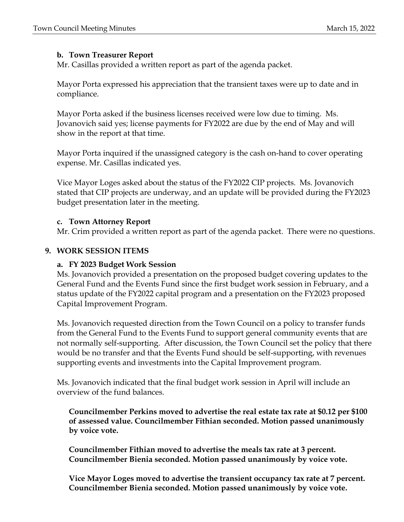### **b. Town Treasurer Report**

Mr. Casillas provided a written report as part of the agenda packet.

Mayor Porta expressed his appreciation that the transient taxes were up to date and in compliance.

Mayor Porta asked if the business licenses received were low due to timing. Ms. Jovanovich said yes; license payments for FY2022 are due by the end of May and will show in the report at that time.

Mayor Porta inquired if the unassigned category is the cash on-hand to cover operating expense. Mr. Casillas indicated yes.

Vice Mayor Loges asked about the status of the FY2022 CIP projects. Ms. Jovanovich stated that CIP projects are underway, and an update will be provided during the FY2023 budget presentation later in the meeting.

#### **c. Town Attorney Report**

Mr. Crim provided a written report as part of the agenda packet. There were no questions.

#### **9. WORK SESSION ITEMS**

#### **a. FY 2023 Budget Work Session**

Ms. Jovanovich provided a presentation on the proposed budget covering updates to the General Fund and the Events Fund since the first budget work session in February, and a status update of the FY2022 capital program and a presentation on the FY2023 proposed Capital Improvement Program.

Ms. Jovanovich requested direction from the Town Council on a policy to transfer funds from the General Fund to the Events Fund to support general community events that are not normally self-supporting. After discussion, the Town Council set the policy that there would be no transfer and that the Events Fund should be self-supporting, with revenues supporting events and investments into the Capital Improvement program.

Ms. Jovanovich indicated that the final budget work session in April will include an overview of the fund balances.

**Councilmember Perkins moved to advertise the real estate tax rate at \$0.12 per \$100 of assessed value. Councilmember Fithian seconded. Motion passed unanimously by voice vote.**

**Councilmember Fithian moved to advertise the meals tax rate at 3 percent. Councilmember Bienia seconded. Motion passed unanimously by voice vote.**

**Vice Mayor Loges moved to advertise the transient occupancy tax rate at 7 percent. Councilmember Bienia seconded. Motion passed unanimously by voice vote.**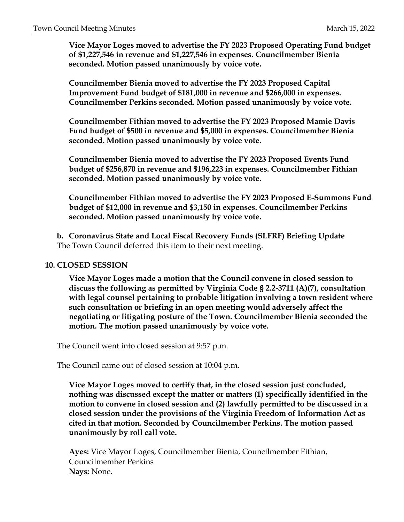**Vice Mayor Loges moved to advertise the FY 2023 Proposed Operating Fund budget of \$1,227,546 in revenue and \$1,227,546 in expenses. Councilmember Bienia seconded. Motion passed unanimously by voice vote.**

**Councilmember Bienia moved to advertise the FY 2023 Proposed Capital Improvement Fund budget of \$181,000 in revenue and \$266,000 in expenses. Councilmember Perkins seconded. Motion passed unanimously by voice vote.**

**Councilmember Fithian moved to advertise the FY 2023 Proposed Mamie Davis Fund budget of \$500 in revenue and \$5,000 in expenses. Councilmember Bienia seconded. Motion passed unanimously by voice vote.**

**Councilmember Bienia moved to advertise the FY 2023 Proposed Events Fund budget of \$256,870 in revenue and \$196,223 in expenses. Councilmember Fithian seconded. Motion passed unanimously by voice vote.**

**Councilmember Fithian moved to advertise the FY 2023 Proposed E-Summons Fund budget of \$12,000 in revenue and \$3,150 in expenses. Councilmember Perkins seconded. Motion passed unanimously by voice vote.**

**b. Coronavirus State and Local Fiscal Recovery Funds (SLFRF) Briefing Update** The Town Council deferred this item to their next meeting.

#### **10. CLOSED SESSION**

**Vice Mayor Loges made a motion that the Council convene in closed session to discuss the following as permitted by Virginia Code § 2.2-3711 (A)(7), consultation with legal counsel pertaining to probable litigation involving a town resident where such consultation or briefing in an open meeting would adversely affect the negotiating or litigating posture of the Town. Councilmember Bienia seconded the motion. The motion passed unanimously by voice vote.**

The Council went into closed session at 9:57 p.m.

The Council came out of closed session at 10:04 p.m.

**Vice Mayor Loges moved to certify that, in the closed session just concluded, nothing was discussed except the matter or matters (1) specifically identified in the motion to convene in closed session and (2) lawfully permitted to be discussed in a closed session under the provisions of the Virginia Freedom of Information Act as cited in that motion. Seconded by Councilmember Perkins. The motion passed unanimously by roll call vote.**

**Ayes:** Vice Mayor Loges, Councilmember Bienia, Councilmember Fithian, Councilmember Perkins **Nays:** None.